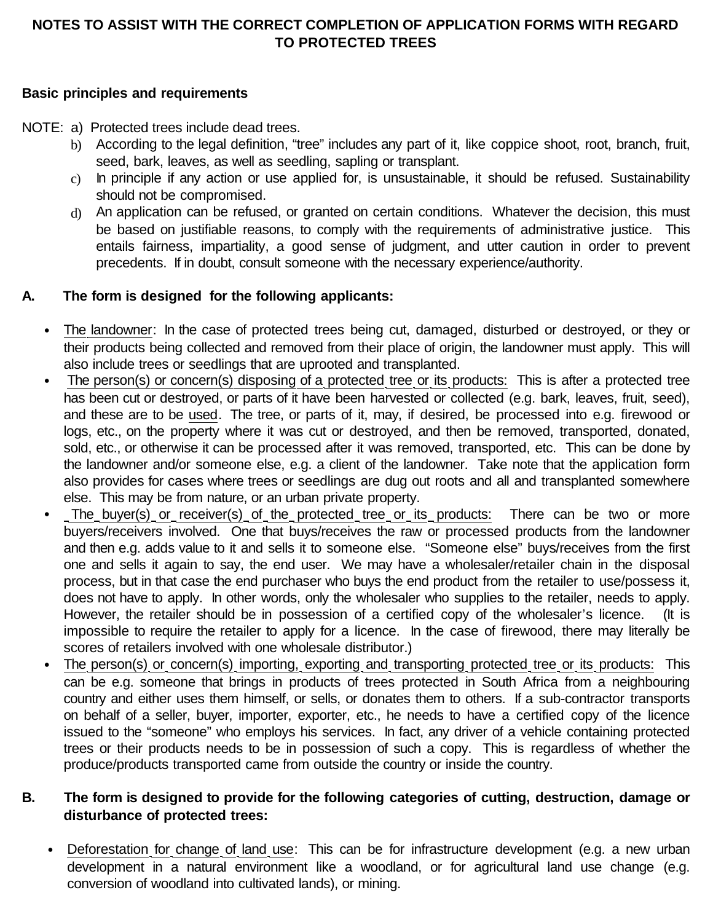# **NOTES TO ASSIST WITH THE CORRECT COMPLETION OF APPLICATION FORMS WITH REGARD TO PROTECTED TREES**

#### **Basic principles and requirements**

NOTE: a) Protected trees include dead trees.

- b) According to the legal definition, "tree" includes any part of it, like coppice shoot, root, branch, fruit, seed, bark, leaves, as well as seedling, sapling or transplant.
- c) In principle if any action or use applied for, is unsustainable, it should be refused. Sustainability should not be compromised.
- d) An application can be refused, or granted on certain conditions. Whatever the decision, this must be based on justifiable reasons, to comply with the requirements of administrative justice. This entails fairness, impartiality, a good sense of judgment, and utter caution in order to prevent precedents. If in doubt, consult someone with the necessary experience/authority.

## **A. The form is designed for the following applicants:**

- The landowner: In the case of protected trees being cut, damaged, disturbed or destroyed, or they or their products being collected and removed from their place of origin, the landowner must apply. This will also include trees or seedlings that are uprooted and transplanted.
- The person(s) or concern(s) disposing of a protected tree or its products: This is after a protected tree has been cut or destroyed, or parts of it have been harvested or collected (e.g. bark, leaves, fruit, seed), and these are to be used. The tree, or parts of it, may, if desired, be processed into e.g. firewood or logs, etc., on the property where it was cut or destroyed, and then be removed, transported, donated, sold, etc., or otherwise it can be processed after it was removed, transported, etc. This can be done by the landowner and/or someone else, e.g. a client of the landowner. Take note that the application form also provides for cases where trees or seedlings are dug out roots and all and transplanted somewhere else. This may be from nature, or an urban private property.
- The buyer(s) or receiver(s) of the protected tree or its products: There can be two or more buyers/receivers involved. One that buys/receives the raw or processed products from the landowner and then e.g. adds value to it and sells it to someone else. "Someone else" buys/receives from the first one and sells it again to say, the end user. We may have a wholesaler/retailer chain in the disposal process, but in that case the end purchaser who buys the end product from the retailer to use/possess it, does not have to apply. In other words, only the wholesaler who supplies to the retailer, needs to apply. However, the retailer should be in possession of a certified copy of the wholesaler's licence. (It is impossible to require the retailer to apply for a licence. In the case of firewood, there may literally be scores of retailers involved with one wholesale distributor.)
- The person(s) or concern(s) importing, exporting and transporting protected tree or its products: This can be e.g. someone that brings in products of trees protected in South Africa from a neighbouring country and either uses them himself, or sells, or donates them to others. If a sub-contractor transports on behalf of a seller, buyer, importer, exporter, etc., he needs to have a certified copy of the licence issued to the "someone" who employs his services. In fact, any driver of a vehicle containing protected trees or their products needs to be in possession of such a copy. This is regardless of whether the produce/products transported came from outside the country or inside the country.

## **B. The form is designed to provide for the following categories of cutting, destruction, damage or disturbance of protected trees:**

• Deforestation for change of land use: This can be for infrastructure development (e.g. a new urban development in a natural environment like a woodland, or for agricultural land use change (e.g. conversion of woodland into cultivated lands), or mining.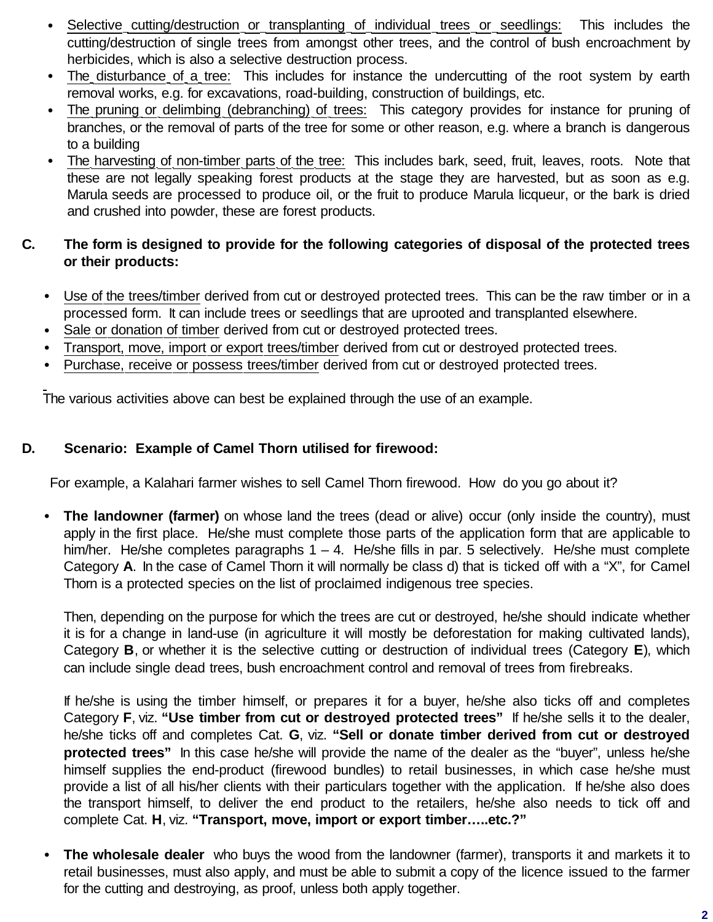- Selective cutting/destruction or transplanting of individual trees or seedlings: This includes the cutting/destruction of single trees from amongst other trees, and the control of bush encroachment by herbicides, which is also a selective destruction process.
- The disturbance of a tree: This includes for instance the undercutting of the root system by earth removal works, e.g. for excavations, road-building, construction of buildings, etc.
- The pruning or delimbing (debranching) of trees: This category provides for instance for pruning of branches, or the removal of parts of the tree for some or other reason, e.g. where a branch is dangerous to a building
- The harvesting of non-timber parts of the tree: This includes bark, seed, fruit, leaves, roots. Note that these are not legally speaking forest products at the stage they are harvested, but as soon as e.g. Marula seeds are processed to produce oil, or the fruit to produce Marula licqueur, or the bark is dried and crushed into powder, these are forest products.

# **C. The form is designed to provide for the following categories of disposal of the protected trees or their products:**

- Use of the trees/timber derived from cut or destroyed protected trees. This can be the raw timber or in a processed form. It can include trees or seedlings that are uprooted and transplanted elsewhere.
- Sale or donation of timber derived from cut or destroyed protected trees.
- Transport, move, import or export trees/timber derived from cut or destroyed protected trees.
- Purchase, receive or possess trees/timber derived from cut or destroyed protected trees.

The various activities above can best be explained through the use of an example.

#### **D. Scenario: Example of Camel Thorn utilised for firewood:**

For example, a Kalahari farmer wishes to sell Camel Thorn firewood. How do you go about it?

• **The landowner (farmer)** on whose land the trees (dead or alive) occur (only inside the country), must apply in the first place. He/she must complete those parts of the application form that are applicable to him/her. He/she completes paragraphs  $1 - 4$ . He/she fills in par. 5 selectively. He/she must complete Category **A**. In the case of Camel Thorn it will normally be class d) that is ticked off with a "X", for Camel Thorn is a protected species on the list of proclaimed indigenous tree species.

Then, depending on the purpose for which the trees are cut or destroyed, he/she should indicate whether it is for a change in land-use (in agriculture it will mostly be deforestation for making cultivated lands), Category **B**, or whether it is the selective cutting or destruction of individual trees (Category **E**), which can include single dead trees, bush encroachment control and removal of trees from firebreaks.

If he/she is using the timber himself, or prepares it for a buyer, he/she also ticks off and completes Category **F**, viz. **"Use timber from cut or destroyed protected trees"** If he/she sells it to the dealer, he/she ticks off and completes Cat. **G**, viz. **"Sell or donate timber derived from cut or destroyed protected trees"** In this case he/she will provide the name of the dealer as the "buyer", unless he/she himself supplies the end-product (firewood bundles) to retail businesses, in which case he/she must provide a list of all his/her clients with their particulars together with the application. If he/she also does the transport himself, to deliver the end product to the retailers, he/she also needs to tick off and complete Cat. **H**, viz. **"Transport, move, import or export timber…..etc.?"**

• **The wholesale dealer** who buys the wood from the landowner (farmer), transports it and markets it to retail businesses, must also apply, and must be able to submit a copy of the licence issued to the farmer for the cutting and destroying, as proof, unless both apply together.